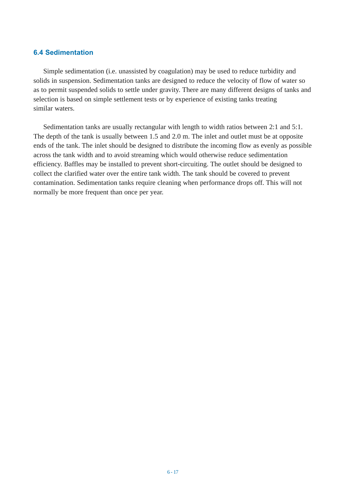## **6.4 Sedimentation**

Simple sedimentation (i.e. unassisted by coagulation) may be used to reduce turbidity and solids in suspension. Sedimentation tanks are designed to reduce the velocity of flow of water so as to permit suspended solids to settle under gravity. There are many different designs of tanks and selection is based on simple settlement tests or by experience of existing tanks treating similar waters.

Sedimentation tanks are usually rectangular with length to width ratios between 2:1 and 5:1. The depth of the tank is usually between 1.5 and 2.0 m. The inlet and outlet must be at opposite ends of the tank. The inlet should be designed to distribute the incoming flow as evenly as possible across the tank width and to avoid streaming which would otherwise reduce sedimentation efficiency. Baffles may be installed to prevent short-circuiting. The outlet should be designed to collect the clarified water over the entire tank width. The tank should be covered to prevent contamination. Sedimentation tanks require cleaning when performance drops off. This will not normally be more frequent than once per year.